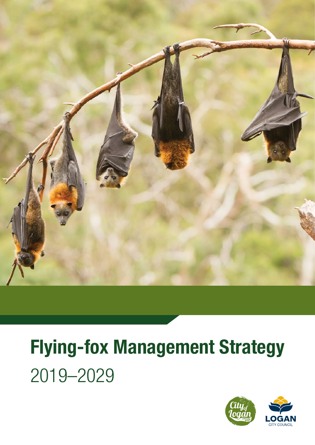

# Flying-fox Management Strategy 2019–2029

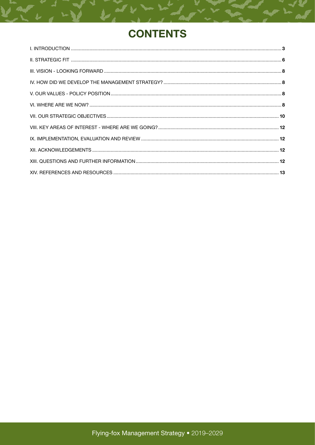# **CONTENTS**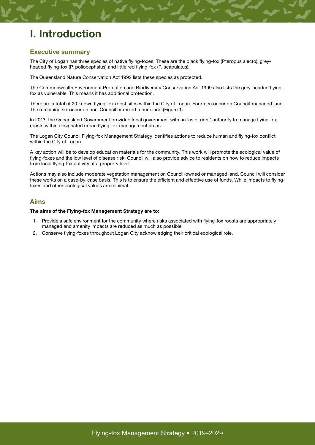# <span id="page-2-0"></span>I. Introduction

#### Executive summary

The City of Logan has three species of native flying-foxes. These are the black flying-fox (Pteropus alecto), greyheaded flying-fox (P. poliocephalus) and little red flying-fox (P. scapulatus).

The Queensland Nature Conservation Act 1992 lists these species as protected.

The Commonwealth Environment Protection and Biodiversity Conservation Act 1999 also lists the grey-headed flyingfox as vulnerable. This means it has additional protection.

There are a total of 20 known flying-fox roost sites within the City of Logan. Fourteen occur on Council-managed land. The remaining six occur on non-Council or mixed tenure land (Figure 1).

In 2013, the Queensland Government provided local government with an 'as of right' authority to manage flying-fox roosts within designated urban flying-fox management areas.

The Logan City Council Flying-fox Management Strategy identifies actions to reduce human and flying-fox conflict within the City of Logan.

A key action will be to develop education materials for the community. This work will promote the ecological value of flying-foxes and the low level of disease risk. Council will also provide advice to residents on how to reduce impacts from local flying-fox activity at a property level.

Actions may also include moderate vegetation management on Council-owned or managed land. Council will consider these works on a case-by-case basis. This is to ensure the efficient and effective use of funds. While impacts to flyingfoxes and other ecological values are minimal.

#### Aims

#### The aims of the Flying-fox Management Strategy are to:

- 1. Provide a safe environment for the community where risks associated with flying-fox roosts are appropriately managed and amenity impacts are reduced as much as possible.
- 2. Conserve flying-foxes throughout Logan City acknowledging their critical ecological role.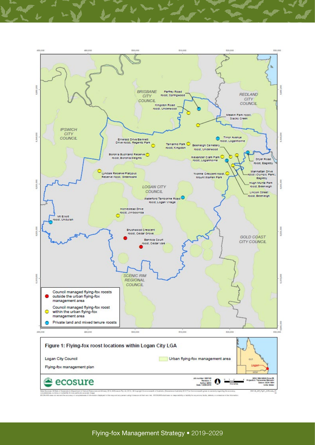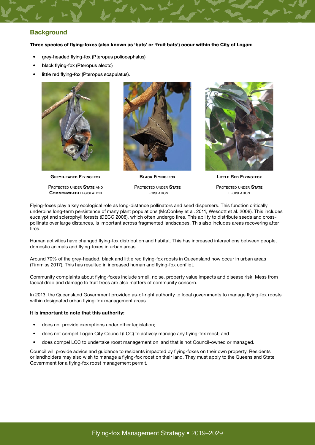#### **Background**

Three species of flying-foxes (also known as 'bats' or 'fruit bats') occur within the City of Logan:

- grey-headed flying-fox (Pteropus poliocephalus)
- black flying-fox (Pteropus alecto)
- little red flying-fox (Pteropus scapulatus).



Grey-headed Flying-fox

PROTECTED UNDER STATE AND **COMMONWEATH LEGISLATION** 



Black Flying-fox

PROTECTED UNDER STATE legislation



Little Red Flying-fox

PROTECTED UNDER STATE legislation

Flying-foxes play a key ecological role as long-distance pollinators and seed dispersers. This function critically underpins long-term persistence of many plant populations (McConkey et al. 2011, Wescott et al. 2008). This includes eucalypt and sclerophyll forests (DECC 2008), which often undergo fires. This ability to distribute seeds and crosspollinate over large distances, is important across fragmented landscapes. This also includes areas recovering after fires.

Human activities have changed flying-fox distribution and habitat. This has increased interactions between people, domestic animals and flying-foxes in urban areas.

Around 70% of the grey-headed, black and little red flying-fox roosts in Queensland now occur in urban areas (Timmiss 2017). This has resulted in increased human and flying-fox conflict.

Community complaints about flying-foxes include smell, noise, property value impacts and disease risk. Mess from faecal drop and damage to fruit trees are also matters of community concern.

In 2013, the Queensland Government provided as-of-right authority to local governments to manage flying-fox roosts within designated urban flying-fox management areas.

#### It is important to note that this authority:

- does not provide exemptions under other legislation;
- does not compel Logan City Council (LCC) to actively manage any flying-fox roost; and
- does compel LCC to undertake roost management on land that is not Council-owned or managed.

Council will provide advice and guidance to residents impacted by flying-foxes on their own property. Residents or landholders may also wish to manage a flying-fox roost on their land. They must apply to the Queensland State Government for a flying-fox roost management permit.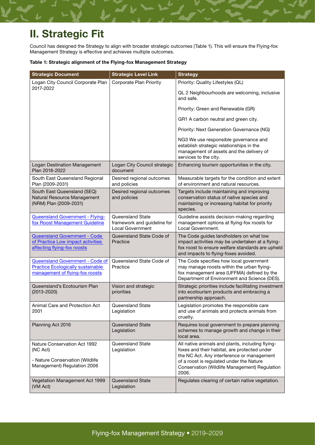# <span id="page-5-0"></span>II. Strategic Fit

Council has designed the Strategy to align with broader strategic outcomes (Table 1). This will ensure the Flying-fox Management Strategy is effective and achieves multiple outcomes.

#### Table 1: Strategic alignment of the Flying-fox Management Strategy

| <b>Strategic Document</b>                                                                                      | <b>Strategic Level Link</b>                                                | <b>Strategy</b>                                                                                                                                                                                                                                      |
|----------------------------------------------------------------------------------------------------------------|----------------------------------------------------------------------------|------------------------------------------------------------------------------------------------------------------------------------------------------------------------------------------------------------------------------------------------------|
| Logan City Council Corporate Plan                                                                              | Corporate Plan Priority                                                    | Priority: Quality Lifestyles (QL)                                                                                                                                                                                                                    |
| 2017-2022                                                                                                      |                                                                            | QL 2 Neighbourhoods are welcoming, inclusive<br>and safe.                                                                                                                                                                                            |
|                                                                                                                |                                                                            | Priority: Green and Renewable (GR)                                                                                                                                                                                                                   |
|                                                                                                                |                                                                            | GR1 A carbon neutral and green city.                                                                                                                                                                                                                 |
|                                                                                                                |                                                                            | Priority: Next Generation Governance (NG)                                                                                                                                                                                                            |
|                                                                                                                |                                                                            | NG3 We use responsible governance and<br>establish strategic relationships in the<br>management of assets and the delivery of<br>services to the city.                                                                                               |
| Logan Destination Management<br>Plan 2018-2022                                                                 | Logan City Council strategic<br>document                                   | Enhancing tourism opportunities in the city.                                                                                                                                                                                                         |
| South East Queensland Regional<br>Plan (2009-2031)                                                             | Desired regional outcomes<br>and policies                                  | Measurable targets for the condition and extent<br>of environment and natural resources.                                                                                                                                                             |
| South East Queensland (SEQ)<br>Natural Resource Management<br>(NRM) Plan (2009-2031)                           | Desired regional outcomes<br>and policies                                  | Targets include maintaining and improving<br>conservation status of native species and<br>maintaining or increasing habitat for priority<br>species.                                                                                                 |
| Queensland Government - Flying-<br>fox Roost Management Guideline                                              | Queensland State<br>framework and guideline for<br><b>Local Government</b> | Guideline assists decision-making regarding<br>management options at flying-fox roosts for<br>Local Government.                                                                                                                                      |
| <b>Queensland Government - Code</b><br>of Practice Low impact activities<br>affecting flying-fox roosts        | Queensland State Code of<br>Practice                                       | The Code guides landholders on what low<br>impact activities may be undertaken at a flying-<br>fox roost to ensure welfare standards are upheld<br>and impacts to flying-foxes avoided.                                                              |
| Queensland Government - Code of<br><b>Practice Ecologically sustainable</b><br>management of flying-fox roosts | Queensland State Code of<br>Practice                                       | The Code specifies how local government<br>may manage roosts within the urban flying-<br>fox management area (UFFMA) defined by the<br>Department of Environment and Science (DES).                                                                  |
| Queensland's Ecotourism Plan<br>$(2013 - 2020)$                                                                | Vision and strategic<br>priorities                                         | Strategic priorities include facilitating investment<br>into ecotourism products and embracing a<br>partnership approach.                                                                                                                            |
| Animal Care and Protection Act<br>2001                                                                         | Queensland State<br>Legislation                                            | Legislation promotes the responsible care<br>and use of animals and protects animals from<br>cruelty.                                                                                                                                                |
| Planning Act 2016                                                                                              | Queensland State<br>Legislation                                            | Requires local government to prepare planning<br>schemes to manage growth and change in their<br>local area.                                                                                                                                         |
| Nature Conservation Act 1992<br>(NC Act)<br>- Nature Conservation (Wildlife<br>Management) Regulation 2006     | Queensland State<br>Legislation                                            | All native animals and plants, including flying-<br>foxes and their habitat, are protected under<br>the NC Act. Any interference or management<br>of a roost is regulated under the Nature<br>Conservation (Wildlife Management) Regulation<br>2006. |
| Vegetation Management Act 1999<br>(VM Act)                                                                     | <b>Queensland State</b><br>Legislation                                     | Regulates clearing of certain native vegetation.                                                                                                                                                                                                     |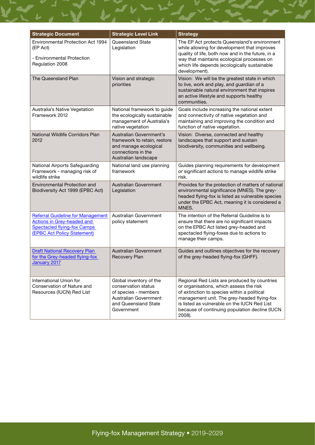| <b>Strategic Document</b>                                                                                                                   | <b>Strategic Level Link</b>                                                                                                           | <b>Strategy</b>                                                                                                                                                                                                                                                                                   |
|---------------------------------------------------------------------------------------------------------------------------------------------|---------------------------------------------------------------------------------------------------------------------------------------|---------------------------------------------------------------------------------------------------------------------------------------------------------------------------------------------------------------------------------------------------------------------------------------------------|
| <b>Environmental Protection Act 1994</b><br>(EP Act)<br>- Environmental Protection<br>Regulation 2008                                       | Queensland State<br>Legislation                                                                                                       | The EP Act protects Queensland's environment<br>while allowing for development that improves<br>quality of life, both now and in the future, in a<br>way that maintains ecological processes on<br>which life depends (ecologically sustainable<br>development).                                  |
| The Queensland Plan                                                                                                                         | Vision and strategic<br>priorities                                                                                                    | Vision: We will be the greatest state in which<br>to live, work and play, and guardian of a<br>sustainable natural environment that inspires<br>an active lifestyle and supports healthy<br>communities.                                                                                          |
| Australia's Native Vegetation<br>Framework 2012                                                                                             | National framework to guide<br>the ecologically sustainable<br>management of Australia's<br>native vegetation                         | Goals include increasing the national extent<br>and connectivity of native vegetation and<br>maintaining and improving the condition and<br>function of native vegetation.                                                                                                                        |
| National Wildlife Corridors Plan<br>2012                                                                                                    | Australian Government's<br>framework to retain, restore<br>and manage ecological<br>connections in the<br>Australian landscape        | Vision: Diverse, connected and healthy<br>landscapes that support and sustain<br>biodiversity, communities and wellbeing.                                                                                                                                                                         |
| National Airports Safeguarding<br>Framework - managing risk of<br>wildlife strike                                                           | National land use planning<br>framework                                                                                               | Guides planning requirements for development<br>or significant actions to manage wildlife strike<br>risk.                                                                                                                                                                                         |
| <b>Environmental Protection and</b><br>Biodiversity Act 1999 (EPBC Act)                                                                     | <b>Australian Government</b><br>Legislation                                                                                           | Provides for the protection of matters of national<br>environmental significance (MNES). The grey-<br>headed flying-fox is listed as vulnerable species<br>under the EPBC Act, meaning it is considered a<br>MNES.                                                                                |
| <b>Referral Guideline for Management</b><br>Actions in Grey-headed and<br><b>Spectacled flying-fox Camps</b><br>(EPBC Act Policy Statement) | Australian Government<br>policy statement                                                                                             | The intention of the Referral Guideline is to<br>ensure that there are no significant impacts<br>on the EPBC Act listed grey-headed and<br>spectacled flying-foxes due to actions to<br>manage their camps.                                                                                       |
| <b>Draft National Recovery Plan</b><br>for the Grey-headed flying-fox<br>January 2017                                                       | <b>Australian Government</b><br>Recovery Plan                                                                                         | Guides and outlines objectives for the recovery<br>of the grey-headed flying-fox (GHFF).                                                                                                                                                                                                          |
| International Union for<br>Conservation of Nature and<br>Resources (IUCN) Red List                                                          | Global inventory of the<br>conservation status<br>of species - members<br>Australian Government<br>and Queensland State<br>Government | Regional Red Lists are produced by countries<br>or organisations, which assess the risk<br>of extinction to species within a political<br>management unit. The grey-headed flying-fox<br>is listed as vulnerable on the IUCN Red List<br>because of continuing population decline (IUCN<br>2008). |

▘<sub></sub>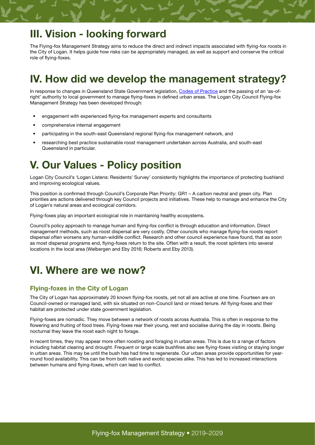# III. Vision - looking forward

The Flying-fox Management Strategy aims to reduce the direct and indirect impacts associated with flying-fox roosts in the City of Logan. It helps guide how risks can be appropriately managed, as well as support and conserve the critical role of flying-foxes.

# IV. How did we develop the management strategy?

In response to changes in Queensland State Government legislation, [Codes of Practice](https://www.ehp.qld.gov.au/wildlife/livingwith/flyingfoxes/roost-management.html) and the passing of an 'as-ofright' authority to local government to manage flying-foxes in defined urban areas. The Logan City Council Flying-fox Management Strategy has been developed through:

- engagement with experienced flying-fox management experts and consultants
- comprehensive internal engagement
- participating in the south-east Queensland regional flying-fox management network, and
- researching best practice sustainable roost management undertaken across Australia, and south-east Queensland in particular.

# V. Our Values - Policy position

Logan City Council's 'Logan Listens: Residents' Survey' consistently highlights the importance of protecting bushland and improving ecological values.

This position is confirmed through Council's Corporate Plan Priority: GR1 – A carbon neutral and green city. Plan priorities are actions delivered through key Council projects and initiatives. These help to manage and enhance the City of Logan's natural areas and ecological corridors.

Flying-foxes play an important ecological role in maintaining healthy ecosystems.

Council's policy approach to manage human and flying-fox conflict is through education and information. Direct management methods, such as roost dispersal are very costly. Other councils who manage flying-fox roosts report dispersal often worsens any human-wildlife conflict. Research and other council experience have found, that as soon as most dispersal programs end, flying-foxes return to the site. Often with a result, the roost splinters into several locations in the local area (Welbergen and Eby 2016; Roberts and Eby 2013).

### VI. Where are we now?

#### Flying-foxes in the City of Logan

The City of Logan has approximately 20 known flying-fox roosts, yet not all are active at one time. Fourteen are on Council-owned or managed land, with six situated on non-Council land or mixed tenure. All flying-foxes and their habitat are protected under state government legislation.

Flying-foxes are nomadic. They move between a network of roosts across Australia. This is often in response to the flowering and fruiting of food trees. Flying-foxes rear their young, rest and socialise during the day in roosts. Being nocturnal they leave the roost each night to forage.

In recent times, they may appear more often roosting and foraging in urban areas. This is due to a range of factors including habitat clearing and drought. Frequent or large scale bushfires also see flying-foxes visiting or staying longer in urban areas. This may be until the bush has had time to regenerate. Our urban areas provide opportunities for yearround food availability. This can be from both native and exotic species alike. This has led to increased interactions between humans and flying-foxes, which can lead to conflict.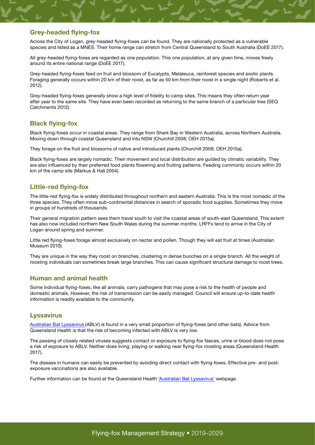#### Grey-headed flying-fox

Across the City of Logan, grey-headed flying-foxes can be found. They are nationally protected as a vulnerable species and listed as a MNES. Their home range can stretch from Central Queensland to South Australia (DoEE 2017).

All grey-headed flying-foxes are regarded as one population. This one population, at any given time, moves freely around its entire national range (DoEE 2017).

Grey-headed flying-foxes feed on fruit and blossom of Eucalypts, Melaleuca, rainforest species and exotic plants. Foraging generally occurs within 20 km of their roost, as far as 50 km from their roost in a single night (Roberts et al. 2012).

Grey-headed flying-foxes generally show a high level of fidelity to camp sites. This means they often return year after year to the same site. They have even been recorded as returning to the same branch of a particular tree (SEQ Catchments 2012).

#### Black flying-fox

Black flying-foxes occur in coastal areas. They range from Shark Bay in Western Australia, across Northern Australia. Moving down through coastal Queensland and into NSW (Churchill 2008; OEH 2015a).

They forage on the fruit and blossoms of native and introduced plants (Churchill 2008; OEH 2015a).

Black flying-foxes are largely nomadic. Their movement and local distribution are guided by climatic variability. They are also influenced by their preferred food plants flowering and fruiting patterns. Feeding commonly occurs within 20 km of the camp site (Markus & Hall 2004).

#### Little-red flying-fox

The little-red flying-fox is widely distributed throughout northern and eastern Australia. This is the most nomadic of the three species. They often move sub-continental distances in search of sporadic food supplies. Sometimes they move in groups of hundreds of thousands.

Their general migration pattern sees them travel south to visit the coastal areas of south-east Queensland. This extent has also now included northern New South Wales during the summer months. LRFFs tend to arrive in the City of Logan around spring and summer.

Little red flying-foxes forage almost exclusively on nectar and pollen. Though they will eat fruit at times (Australian Museum 2010).

They are unique in the way they roost on branches, clustering in dense bunches on a single branch. All the weight of roosting individuals can sometimes break large branches. This can cause significant structural damage to roost trees.

#### Human and animal health

Some individual flying-foxes, like all animals, carry pathogens that may pose a risk to the health of people and domestic animals. However, the risk of transmission can be easily managed. Council will ensure up-to-date health information is readily available to the community.

#### **Lyssavirus**

[Australian Bat Lyssavirus](http://disease-control.health.qld.gov.au/Condition/687/australian-bat-lyssavirus) (ABLV) is found in a very small proportion of flying-foxes (and other bats). Advice from Queensland Health is that the risk of becoming infected with ABLV is very low.

The passing of closely related viruses suggests contact or exposure to flying-fox faeces, urine or blood does not pose a risk of exposure to ABLV. Neither does living, playing or walking near flying-fox roosting areas (Queensland Health 2017).

The disease in humans can easily be prevented by avoiding direct contact with flying-foxes. Effective pre- and postexposure vaccinations are also available.

Further information can be found at the Queensland Health ['Australian Bat Lyssavirus](http://conditions.health.qld.gov.au/HealthCondition/condition/14/217/10/australian-bat-lyssavirus)' webpage.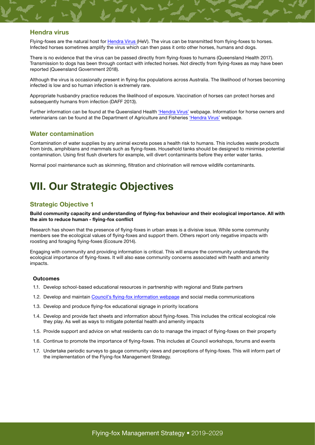#### <span id="page-9-0"></span>Hendra virus

Flying-foxes are the natural host for [Hendra Virus](http://conditions.health.qld.gov.au/HealthCondition/condition/14/217/363/hendra-virus-infection) (HeV). The virus can be transmitted from flying-foxes to horses. Infected horses sometimes amplify the virus which can then pass it onto other horses, humans and dogs.

There is no evidence that the virus can be passed directly from flying-foxes to humans (Queensland Health 2017). Transmission to dogs has been through contact with infected horses. Not directly from flying-foxes as may have been reported (Queensland Government 2018).

Although the virus is occasionally present in flying-fox populations across Australia. The likelihood of horses becoming infected is low and so human infection is extremely rare.

Appropriate husbandry practice reduces the likelihood of exposure. Vaccination of horses can protect horses and subsequently humans from infection (DAFF 2013).

Further information can be found at the Queensland Health '[Hendra Virus'](http://conditions.health.qld.gov.au/HealthCondition/condition/14/217/363/hendra-virus-infection) webpage. Information for horse owners and veterinarians can be found at the Department of Agriculture and Fisheries ['Hendra Virus'](https://www.daf.qld.gov.au/animal-industries/animal-health-and-diseases/a-z-list/hendra-virus) webpage.

#### Water contamination

Contamination of water supplies by any animal excreta poses a health risk to humans. This includes waste products from birds, amphibians and mammals such as flying-foxes. Household tanks should be designed to minimise potential contamination. Using first flush diverters for example, will divert contaminants before they enter water tanks.

Normal pool maintenance such as skimming, filtration and chlorination will remove wildlife contaminants.

# VII. Our Strategic Objectives

#### Strategic Objective 1

#### Build community capacity and understanding of flying-fox behaviour and their ecological importance. All with the aim to reduce human - flying-fox conflict

Research has shown that the presence of flying-foxes in urban areas is a divisive issue. While some community members see the ecological values of flying-foxes and support them. Others report only negative impacts with roosting and foraging flying-foxes (Ecosure 2014).

Engaging with community and providing information is critical. This will ensure the community understands the ecological importance of flying-foxes. It will also ease community concerns associated with health and amenity impacts.

#### **Outcomes**

- 1.1. Develop school-based educational resources in partnership with regional and State partners
- 1.2. Develop and maintain [Council's flying-fox information webpage](https://www.logan.qld.gov.au/environment/flying-foxes-and-bats) and social media communications
- 1.3. Develop and produce flying-fox educational signage in priority locations
- 1.4. Develop and provide fact sheets and information about flying-foxes. This includes the critical ecological role they play. As well as ways to mitigate potential health and amenity impacts
- 1.5. Provide support and advice on what residents can do to manage the impact of flying-foxes on their property
- 1.6. Continue to promote the importance of flying-foxes. This includes at Council workshops, forums and events
- 1.7. Undertake periodic surveys to gauge community views and perceptions of flying-foxes. This will inform part of the implementation of the Flying-fox Management Strategy.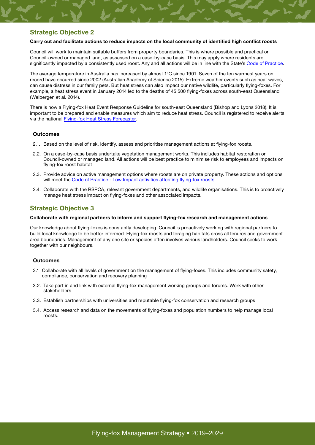#### Strategic Objective 2

#### Carry out and facilitate actions to reduce impacts on the local community of identified high conflict roosts

Council will work to maintain suitable buffers from property boundaries. This is where possible and practical on Council-owned or managed land, as assessed on a case-by-case basis. This may apply where residents are significantly impacted by a consistently used roost. Any and all actions will be in line with the State's [Code of Practice.](https://environment.des.qld.gov.au/licences-permits/plants-animals/documents/cp-wl-ff-roost-management.pdf)

The average temperature in Australia has increased by almost 1°C since 1901. Seven of the ten warmest years on record have occurred since 2002 (Australian Academy of Science 2015). Extreme weather events such as heat waves, can cause distress in our family pets. But heat stress can also impact our native wildlife, particularly flying-foxes. For example, a heat stress event in January 2014 led to the deaths of 45,500 flying-foxes across south-east Queensland (Welbergen et al. 2014).

There is now a Flying-fox Heat Event Response Guideline for south-east Queensland (Bishop and Lyons 2018). It is important to be prepared and enable measures which aim to reduce heat stress. Council is registered to receive alerts via the national [Flying-fox Heat Stress Forecaster.](https://www.animalecologylab.org/ff-heat-stress-forecaster.html)

#### **Outcomes**

- 2.1. Based on the level of risk, identify, assess and prioritise management actions at flying-fox roosts.
- 2.2. On a case-by-case basis undertake vegetation management works. This includes habitat restoration on Council-owned or managed land. All actions will be best practice to minimise risk to employees and impacts on flying-fox roost habitat
- 2.3. Provide advice on active management options where roosts are on private property. These actions and options will meet the [Code of Practice - Low Impact activities affecting flying-fox roosts](https://environment.des.qld.gov.au/wildlife/livingwith/flyingfoxes/pdf/cp-wl-ff-low-impact-roosts.pdf)
- 2.4. Collaborate with the RSPCA, relevant government departments, and wildlife organisations. This is to proactively manage heat stress impact on flying-foxes and other associated impacts.

#### Strategic Objective 3

#### Collaborate with regional partners to inform and support flying-fox research and management actions

Our knowledge about flying-foxes is constantly developing. Council is proactively working with regional partners to build local knowledge to be better informed. Flying-fox roosts and foraging habitats cross all tenures and government area boundaries. Management of any one site or species often involves various landholders. Council seeks to work together with our neighbours.

#### **Outcomes**

- 3.1 Collaborate with all levels of government on the management of flying-foxes. This includes community safety, compliance, conservation and recovery planning
- 3.2. Take part in and link with external flying-fox management working groups and forums. Work with other stakeholders
- 3.3. Establish partnerships with universities and reputable flying-fox conservation and research groups
- 3.4. Access research and data on the movements of flying-foxes and population numbers to help manage local roosts.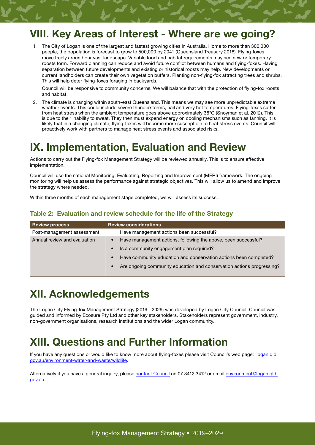# <span id="page-11-0"></span>VIII. Key Areas of Interest - Where are we going?

1. The City of Logan is one of the largest and fastest growing cities in Australia. Home to more than 300,000 people, the population is forecast to grow to 500,000 by 2041 (Queensland Treasury 2018). Flying-foxes move freely around our vast landscape. Variable food and habitat requirements may see new or temporary roosts form. Forward planning can reduce and avoid future conflict between humans and flying-foxes. Having separation between future developments and existing or historical roosts may help. New developments or current landholders can create their own vegetation buffers. Planting non-flying-fox attracting trees and shrubs. This will help deter flying-foxes foraging in backyards.

Council will be responsive to community concerns. We will balance that with the protection of flying-fox roosts and habitat.

2. The climate is changing within south-east Queensland. This means we may see more unpredictable extreme weather events. This could include severe thunderstorms, hail and very hot temperatures. Flying-foxes suffer from heat stress when the ambient temperature goes above approximately 38°C (Snoyman et al. 2012). This is due to their inability to sweat. They then must expend energy on cooling mechanisms such as fanning. It is likely that in a changing climate, flying-foxes will become more susceptible to heat stress events. Council will proactively work with partners to manage heat stress events and associated risks.

# IX. Implementation, Evaluation and Review

Actions to carry out the Flying-fox Management Strategy will be reviewed annually. This is to ensure effective implementation.

Council will use the national Monitoring, Evaluating, Reporting and Improvement (MERI) framework. The ongoing monitoring will help us assess the performance against strategic objectives. This will allow us to amend and improve the strategy where needed.

Within three months of each management stage completed, we will assess its success.

| <b>Review process</b>        | <b>Review considerations</b>                                          |  |
|------------------------------|-----------------------------------------------------------------------|--|
| Post-management assessment   | Have management actions been successful?                              |  |
| Annual review and evaluation | Have management actions, following the above, been successful?        |  |
|                              | Is a community engagement plan required?                              |  |
|                              | Have community education and conservation actions been completed?     |  |
|                              | Are ongoing community education and conservation actions progressing? |  |

#### Table 2: Evaluation and review schedule for the life of the Strategy

# XII. Acknowledgements

The Logan City Flying-fox Management Strategy (2019 - 2029) was developed by Logan City Council. Council was guided and informed by Ecosure Pty Ltd and other key stakeholders. Stakeholders represent government, industry, non-government organisations, research institutions and the wider Logan community.

# XIII. Questions and Further Information

[If you have any questions or would like to know more about flying-foxes please visit Council's web page: logan.qld.](http://www.logan.qld.gov.au/environment-water-and-waste/wildlife) gov.au/environment-water-and-waste/wildlife.

Alternatively if you have a general inquiry, please contact Council on 07 3412 3412 or email environment@logan.gld. gov.au